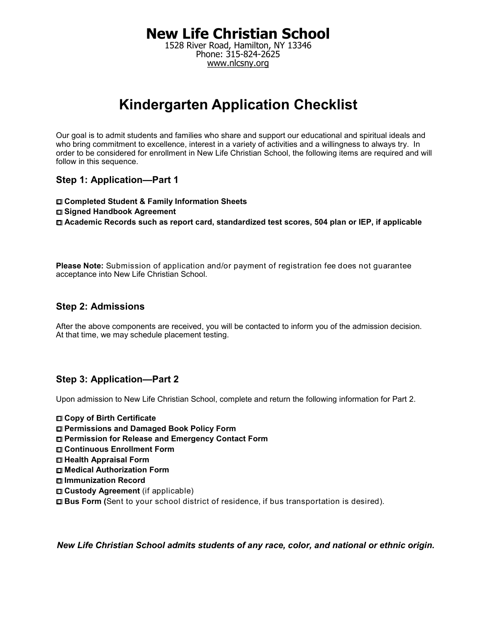# **New Life Christian School**

1528 River Road, Hamilton, NY 13346 Phone: 315-824-2625 www.nlcsny.org

# **Kindergarten Application Checklist**

Our goal is to admit students and families who share and support our educational and spiritual ideals and who bring commitment to excellence, interest in a variety of activities and a willingness to always try. In order to be considered for enrollment in New Life Christian School, the following items are required and will follow in this sequence.

### **Step 1: Application—Part 1**

**Completed Student & Family Information Sheets Signed Handbook Agreement Academic Records such as report card, standardized test scores, 504 plan or IEP, if applicable**

**Please Note:** Submission of application and/or payment of registration fee does not guarantee acceptance into New Life Christian School.

### **Step 2: Admissions**

After the above components are received, you will be contacted to inform you of the admission decision. At that time, we may schedule placement testing.

### **Step 3: Application—Part 2**

Upon admission to New Life Christian School, complete and return the following information for Part 2.

**Copy of Birth Certificate Permissions and Damaged Book Policy Form Permission for Release and Emergency Contact Form Continuous Enrollment Form Health Appraisal Form Medical Authorization Form Immunization Record Custody Agreement** (if applicable) **Bus Form (**Sent to your school district of residence, if bus transportation is desired).

*New Life Christian School admits students of any race, color, and national or ethnic origin.*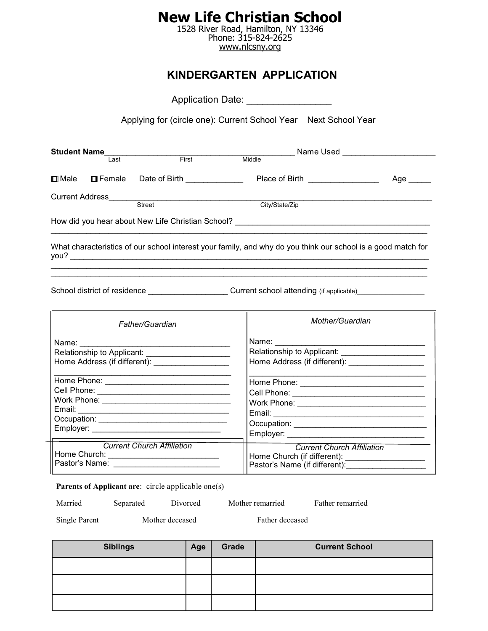# **New Life Christian School**

1528 River Road, Hamilton, NY 13346 Phone: 315-824-2625 www.nlcsny.org

## **KINDERGARTEN APPLICATION**

Application Date: \_\_\_\_\_\_\_\_\_\_\_\_\_\_\_\_\_\_

Applying for (circle one): Current School Year Next School Year

| Student Name                                                                                                                                                                 |                                                                                                              |  |  |  |
|------------------------------------------------------------------------------------------------------------------------------------------------------------------------------|--------------------------------------------------------------------------------------------------------------|--|--|--|
| First<br>Last                                                                                                                                                                | Middle                                                                                                       |  |  |  |
| $\square$ Male                                                                                                                                                               | Age _____                                                                                                    |  |  |  |
|                                                                                                                                                                              |                                                                                                              |  |  |  |
|                                                                                                                                                                              | City/State/Zip                                                                                               |  |  |  |
|                                                                                                                                                                              |                                                                                                              |  |  |  |
|                                                                                                                                                                              | What characteristics of our school interest your family, and why do you think our school is a good match for |  |  |  |
| School district of residence _____________________________Current school attending (if applicable)______________                                                             |                                                                                                              |  |  |  |
| Father/Guardian                                                                                                                                                              | Mother/Guardian                                                                                              |  |  |  |
| Name: <b>Name</b>                                                                                                                                                            |                                                                                                              |  |  |  |
| <u> 1950 - Johann John Stoff, mars and de British and de British and de British and de British and de British and </u><br>Relationship to Applicant: _______________________ | Relationship to Applicant: ______________________                                                            |  |  |  |
| Home Address (if different): <b>William Company Address</b>                                                                                                                  | Home Address (if different): ____________________                                                            |  |  |  |
|                                                                                                                                                                              |                                                                                                              |  |  |  |
|                                                                                                                                                                              |                                                                                                              |  |  |  |
|                                                                                                                                                                              | Work Phone: __________________________________                                                               |  |  |  |
|                                                                                                                                                                              |                                                                                                              |  |  |  |
|                                                                                                                                                                              |                                                                                                              |  |  |  |
|                                                                                                                                                                              |                                                                                                              |  |  |  |
| <b>Current Church Affiliation</b>                                                                                                                                            | <b>Current Church Affiliation</b>                                                                            |  |  |  |
|                                                                                                                                                                              | Home Church (if different): ______________________                                                           |  |  |  |
|                                                                                                                                                                              | Pastor's Name (if different):                                                                                |  |  |  |

#### Parents of Applicant are: circle applicable one(s)

Married Separated Divorced Mother remarried Father remarried

Single Parent Mother deceased Father deceased

**Siblings Age Grade Current School**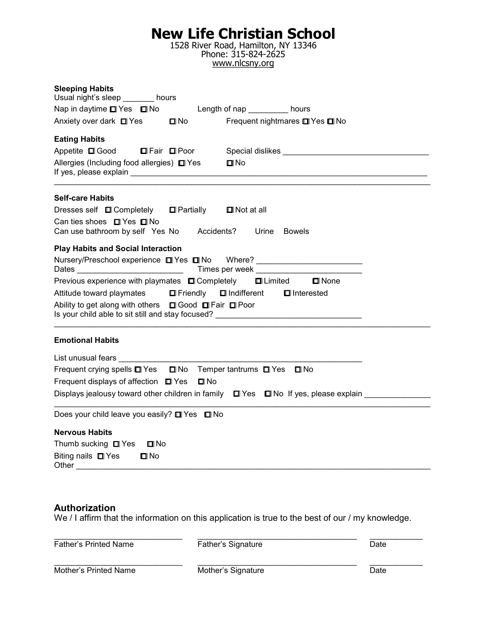# **New Life Christian School**

1528 River Road, Hamilton, NY 13346 Phone: 315-824-2625 www.nlcsny.org

| <b>Sleeping Habits</b><br>Usual night's sleep _______ hours                                                                                                                                                                                                                                                                                                                                                                                                                                                                                                                                                                                                                                                       |  |  |  |
|-------------------------------------------------------------------------------------------------------------------------------------------------------------------------------------------------------------------------------------------------------------------------------------------------------------------------------------------------------------------------------------------------------------------------------------------------------------------------------------------------------------------------------------------------------------------------------------------------------------------------------------------------------------------------------------------------------------------|--|--|--|
| Nap in daytime □ Yes □ No Length of nap _________ hours                                                                                                                                                                                                                                                                                                                                                                                                                                                                                                                                                                                                                                                           |  |  |  |
| Anxiety over dark <b>□</b> Yes<br>Frequent nightmares □ Yes □ No<br><b>⊡</b> No                                                                                                                                                                                                                                                                                                                                                                                                                                                                                                                                                                                                                                   |  |  |  |
| <b>Eating Habits</b>                                                                                                                                                                                                                                                                                                                                                                                                                                                                                                                                                                                                                                                                                              |  |  |  |
| Appetite <b>□</b> Good □ Fair ■ Poor                                                                                                                                                                                                                                                                                                                                                                                                                                                                                                                                                                                                                                                                              |  |  |  |
| Allergies (Including food allergies) □ Yes<br>$\blacksquare$ No                                                                                                                                                                                                                                                                                                                                                                                                                                                                                                                                                                                                                                                   |  |  |  |
| <b>Self-care Habits</b>                                                                                                                                                                                                                                                                                                                                                                                                                                                                                                                                                                                                                                                                                           |  |  |  |
| $\blacksquare$ Partially<br>Dresses self <b>□</b> Completely<br>$\Box$ Not at all                                                                                                                                                                                                                                                                                                                                                                                                                                                                                                                                                                                                                                 |  |  |  |
| Can ties shoes □ Yes □ No<br>Can use bathroom by self Yes No Accidents?<br>Urine Bowels                                                                                                                                                                                                                                                                                                                                                                                                                                                                                                                                                                                                                           |  |  |  |
| <b>Play Habits and Social Interaction</b><br>Nursery/Preschool experience □ Yes □ No Where? _________________________________<br>Times per week and the state of the state of the state of the state of the state of the state of the state of the state of the state of the state of the state of the state of the state of the state of the state of the stat<br>Previous experience with playmates □ Completely<br>$\blacksquare$ Limited<br>$\blacksquare$ None<br>Attitude toward playmates <b>De</b> Friendly <b>De</b> Indifferent <b>D</b> Interested<br>Ability to get along with others <b>□ Good □ Fair □ Poor</b><br>Is your child able to sit still and stay focused? ______________________________ |  |  |  |
| <b>Emotional Habits</b>                                                                                                                                                                                                                                                                                                                                                                                                                                                                                                                                                                                                                                                                                           |  |  |  |
| List unusual fears                                                                                                                                                                                                                                                                                                                                                                                                                                                                                                                                                                                                                                                                                                |  |  |  |
| Frequent crying spells ■ Yes ■ No Temper tantrums ■ Yes ■ No                                                                                                                                                                                                                                                                                                                                                                                                                                                                                                                                                                                                                                                      |  |  |  |
| Frequent displays of affection <b>I</b> Yes<br>$\square$ No                                                                                                                                                                                                                                                                                                                                                                                                                                                                                                                                                                                                                                                       |  |  |  |
| Displays jealousy toward other children in family $\Box$ Yes $\Box$ No If yes, please explain                                                                                                                                                                                                                                                                                                                                                                                                                                                                                                                                                                                                                     |  |  |  |
| Does your child leave you easily? □ Yes □ No                                                                                                                                                                                                                                                                                                                                                                                                                                                                                                                                                                                                                                                                      |  |  |  |
| <b>Nervous Habits</b>                                                                                                                                                                                                                                                                                                                                                                                                                                                                                                                                                                                                                                                                                             |  |  |  |
| Thumb sucking $\Box$ Yes<br><b>⊡</b> No                                                                                                                                                                                                                                                                                                                                                                                                                                                                                                                                                                                                                                                                           |  |  |  |
| Biting nails $\Box$ Yes<br>$\square$ No<br>Other                                                                                                                                                                                                                                                                                                                                                                                                                                                                                                                                                                                                                                                                  |  |  |  |

### **Authorization**

We / I affirm that the information on this application is true to the best of our / my knowledge.

| <b>Father's Printed Name</b> | Father's Signature | Date |
|------------------------------|--------------------|------|
| Mother's Printed Name        | Mother's Signature | Date |